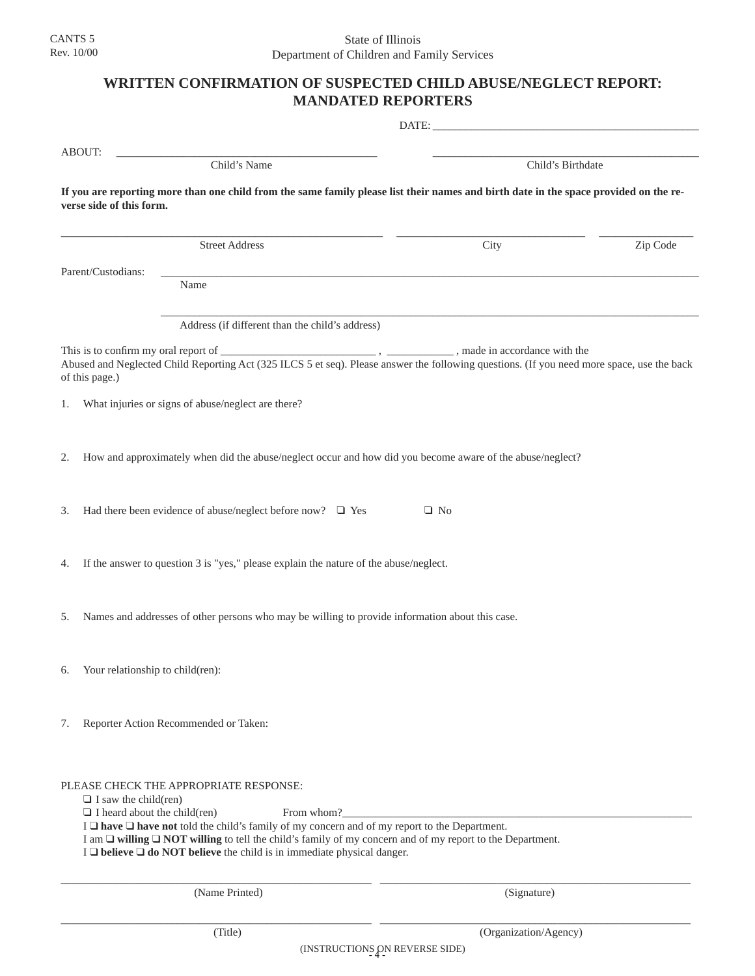## **WRITTEN CONFIRMATION OF SUSPECTED CHILD ABUSE/NEGLECT REPORT: MANDATED REPORTERS**

| ABOUT:                                                                                                                                                            | Child's Name                                                                                                                                                                                                                                                                                                                                                                                                             |             | Child's Birthdate |  |
|-------------------------------------------------------------------------------------------------------------------------------------------------------------------|--------------------------------------------------------------------------------------------------------------------------------------------------------------------------------------------------------------------------------------------------------------------------------------------------------------------------------------------------------------------------------------------------------------------------|-------------|-------------------|--|
| If you are reporting more than one child from the same family please list their names and birth date in the space provided on the re-<br>verse side of this form. |                                                                                                                                                                                                                                                                                                                                                                                                                          |             |                   |  |
|                                                                                                                                                                   | <b>Street Address</b>                                                                                                                                                                                                                                                                                                                                                                                                    | City        | Zip Code          |  |
| Parent/Custodians:                                                                                                                                                | Name                                                                                                                                                                                                                                                                                                                                                                                                                     |             |                   |  |
|                                                                                                                                                                   | Address (if different than the child's address)                                                                                                                                                                                                                                                                                                                                                                          |             |                   |  |
| of this page.)                                                                                                                                                    | Abused and Neglected Child Reporting Act (325 ILCS 5 et seq). Please answer the following questions. (If you need more space, use the back                                                                                                                                                                                                                                                                               |             |                   |  |
| 1.                                                                                                                                                                | What injuries or signs of abuse/neglect are there?                                                                                                                                                                                                                                                                                                                                                                       |             |                   |  |
| 2.                                                                                                                                                                | How and approximately when did the abuse/neglect occur and how did you become aware of the abuse/neglect?                                                                                                                                                                                                                                                                                                                |             |                   |  |
| 3.                                                                                                                                                                | Had there been evidence of abuse/neglect before now? $\Box$ Yes                                                                                                                                                                                                                                                                                                                                                          | $\Box$ No   |                   |  |
| 4.                                                                                                                                                                | If the answer to question 3 is "yes," please explain the nature of the abuse/neglect.                                                                                                                                                                                                                                                                                                                                    |             |                   |  |
| 5.                                                                                                                                                                | Names and addresses of other persons who may be willing to provide information about this case.                                                                                                                                                                                                                                                                                                                          |             |                   |  |
| 6.                                                                                                                                                                | Your relationship to child(ren):                                                                                                                                                                                                                                                                                                                                                                                         |             |                   |  |
| 7.                                                                                                                                                                | Reporter Action Recommended or Taken:                                                                                                                                                                                                                                                                                                                                                                                    |             |                   |  |
| $\Box$ I saw the child(ren)                                                                                                                                       | PLEASE CHECK THE APPROPRIATE RESPONSE:<br>$\Box$ I heard about the child(ren)<br>From whom?<br>I $\Box$ have $\Box$ have not told the child's family of my concern and of my report to the Department.<br>I am $\Box$ willing $\Box$ NOT willing to tell the child's family of my concern and of my report to the Department.<br>$I \square$ believe $\square$ do NOT believe the child is in immediate physical danger. |             |                   |  |
|                                                                                                                                                                   | (Name Printed)                                                                                                                                                                                                                                                                                                                                                                                                           | (Signature) |                   |  |

\_\_\_\_\_\_\_\_\_\_\_\_\_\_\_\_\_\_\_\_\_\_\_\_\_\_\_\_\_\_\_\_\_\_\_\_\_\_\_\_\_\_\_\_\_\_\_\_\_\_\_\_\_\_\_\_ \_\_\_\_\_\_\_\_\_\_\_\_\_\_\_\_\_\_\_\_\_\_\_\_\_\_\_\_\_\_\_\_\_\_\_\_\_\_\_\_\_\_\_\_\_\_\_\_\_\_\_\_\_\_\_\_ (Title) (Organization/Agency)